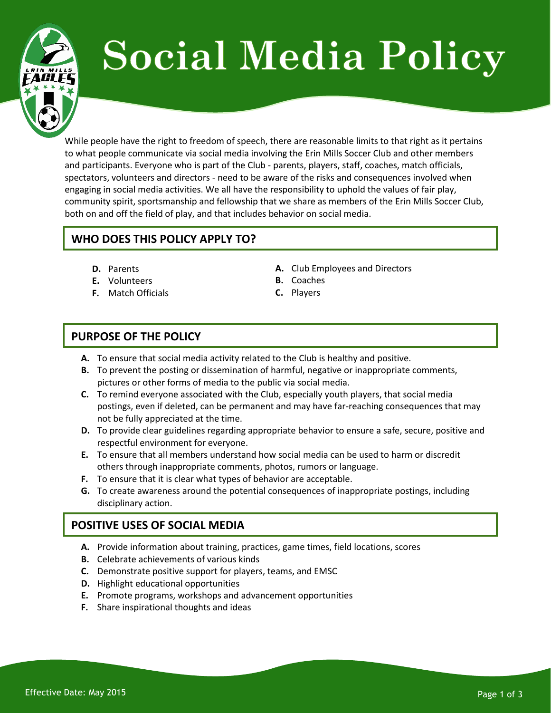# **Social Media Policy**

While people have the right to freedom of speech, there are reasonable limits to that right as it pertains to what people communicate via social media involving the Erin Mills Soccer Club and other members and participants. Everyone who is part of the Club - parents, players, staff, coaches, match officials, spectators, volunteers and directors - need to be aware of the risks and consequences involved when engaging in social media activities. We all have the responsibility to uphold the values of fair play, community spirit, sportsmanship and fellowship that we share as members of the Erin Mills Soccer Club, both on and off the field of play, and that includes behavior on social media.

# **WHO DOES THIS POLICY APPLY TO?**

- **D.** Parents
- **E.** Volunteers
- **F.** Match Officials
- **A.** Club Employees and Directors
- **B.** Coaches
- **C.** Players

# **PURPOSE OF THE POLICY**

- **A.** To ensure that social media activity related to the Club is healthy and positive.
- **B.** To prevent the posting or dissemination of harmful, negative or inappropriate comments, pictures or other forms of media to the public via social media.
- **C.** To remind everyone associated with the Club, especially youth players, that social media postings, even if deleted, can be permanent and may have far-reaching consequences that may not be fully appreciated at the time.
- **D.** To provide clear guidelines regarding appropriate behavior to ensure a safe, secure, positive and respectful environment for everyone.
- **E.** To ensure that all members understand how social media can be used to harm or discredit others through inappropriate comments, photos, rumors or language.
- **F.** To ensure that it is clear what types of behavior are acceptable.
- **G.** To create awareness around the potential consequences of inappropriate postings, including disciplinary action.

## **POSITIVE USES OF SOCIAL MEDIA**

- **A.** Provide information about training, practices, game times, field locations, scores
- **B.** Celebrate achievements of various kinds
- **C.** Demonstrate positive support for players, teams, and EMSC
- **D.** Highlight educational opportunities
- **E.** Promote programs, workshops and advancement opportunities
- **F.** Share inspirational thoughts and ideas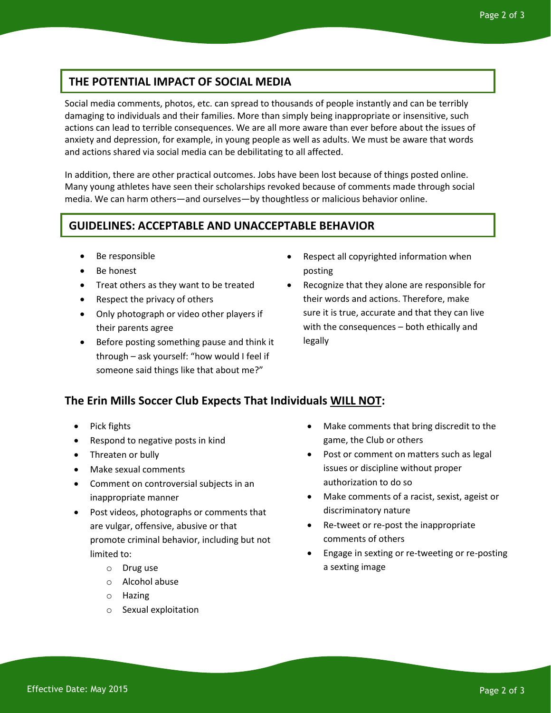## **THE POTENTIAL IMPACT OF SOCIAL MEDIA**

Social media comments, photos, etc. can spread to thousands of people instantly and can be terribly damaging to individuals and their families. More than simply being inappropriate or insensitive, such actions can lead to terrible consequences. We are all more aware than ever before about the issues of anxiety and depression, for example, in young people as well as adults. We must be aware that words and actions shared via social media can be debilitating to all affected.

In addition, there are other practical outcomes. Jobs have been lost because of things posted online. Many young athletes have seen their scholarships revoked because of comments made through social media. We can harm others—and ourselves—by thoughtless or malicious behavior online.

## **GUIDELINES: ACCEPTABLE AND UNACCEPTABLE BEHAVIOR**

- Be responsible
- Be honest
- Treat others as they want to be treated
- Respect the privacy of others
- Only photograph or video other players if their parents agree
- Before posting something pause and think it through – ask yourself: "how would I feel if someone said things like that about me?"
- Respect all copyrighted information when posting
- Recognize that they alone are responsible for their words and actions. Therefore, make sure it is true, accurate and that they can live with the consequences – both ethically and legally

#### **The Erin Mills Soccer Club Expects That Individuals WILL NOT:**

- Pick fights
- Respond to negative posts in kind
- Threaten or bully
- Make sexual comments
- Comment on controversial subjects in an inappropriate manner
- Post videos, photographs or comments that are vulgar, offensive, abusive or that promote criminal behavior, including but not limited to:
	- o Drug use
	- o Alcohol abuse
	- o Hazing
	- o Sexual exploitation
- Make comments that bring discredit to the game, the Club or others
- Post or comment on matters such as legal issues or discipline without proper authorization to do so
- Make comments of a racist, sexist, ageist or discriminatory nature
- Re-tweet or re-post the inappropriate comments of others
- Engage in sexting or re-tweeting or re-posting a sexting image